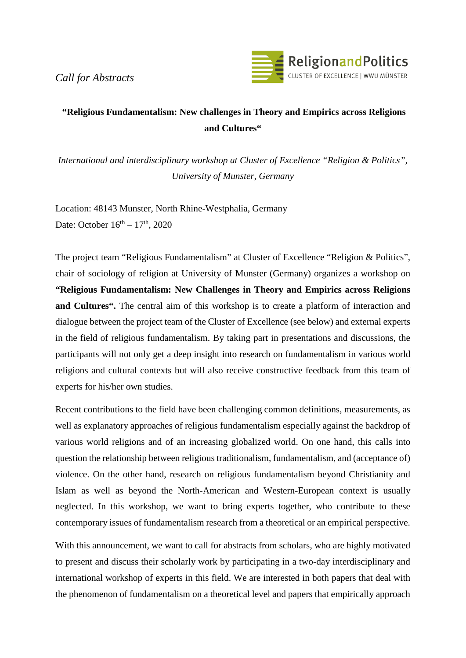*Call for Abstracts*



## **"Religious Fundamentalism: New challenges in Theory and Empirics across Religions and Cultures"**

*International and interdisciplinary workshop at Cluster of Excellence "Religion & Politics", University of Munster, Germany*

Location: 48143 Munster, North Rhine-Westphalia, Germany Date: October  $16^{th} - 17^{th}$ , 2020

The project team "Religious Fundamentalism" at Cluster of Excellence "Religion & Politics", chair of sociology of religion at University of Munster (Germany) organizes a workshop on **"Religious Fundamentalism: New Challenges in Theory and Empirics across Religions and Cultures".** The central aim of this workshop is to create a platform of interaction and dialogue between the project team of the Cluster of Excellence (see below) and external experts in the field of religious fundamentalism. By taking part in presentations and discussions, the participants will not only get a deep insight into research on fundamentalism in various world religions and cultural contexts but will also receive constructive feedback from this team of experts for his/her own studies.

Recent contributions to the field have been challenging common definitions, measurements, as well as explanatory approaches of religious fundamentalism especially against the backdrop of various world religions and of an increasing globalized world. On one hand, this calls into question the relationship between religious traditionalism, fundamentalism, and (acceptance of) violence. On the other hand, research on religious fundamentalism beyond Christianity and Islam as well as beyond the North-American and Western-European context is usually neglected. In this workshop, we want to bring experts together, who contribute to these contemporary issues of fundamentalism research from a theoretical or an empirical perspective.

With this announcement, we want to call for abstracts from scholars, who are highly motivated to present and discuss their scholarly work by participating in a two-day interdisciplinary and international workshop of experts in this field. We are interested in both papers that deal with the phenomenon of fundamentalism on a theoretical level and papers that empirically approach